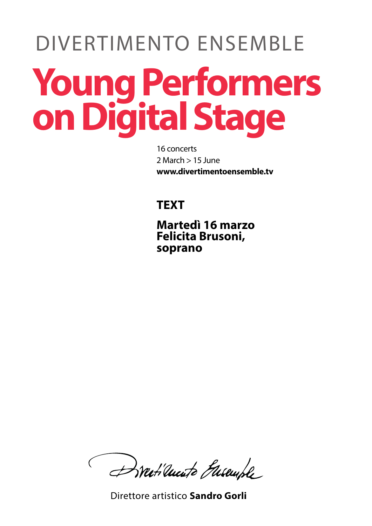## DIVERTIMENTO ENSEMBLE **YoungPerformers onDigitalStage**

16 concerts 2 March > 15 June **www.divertimentoensemble.tv**

## **TEXT**

**Martedì 16 marzo Felicita Brusoni, soprano**

Dratilucite Guseuple

Direttore artistico **Sandro Gorli**